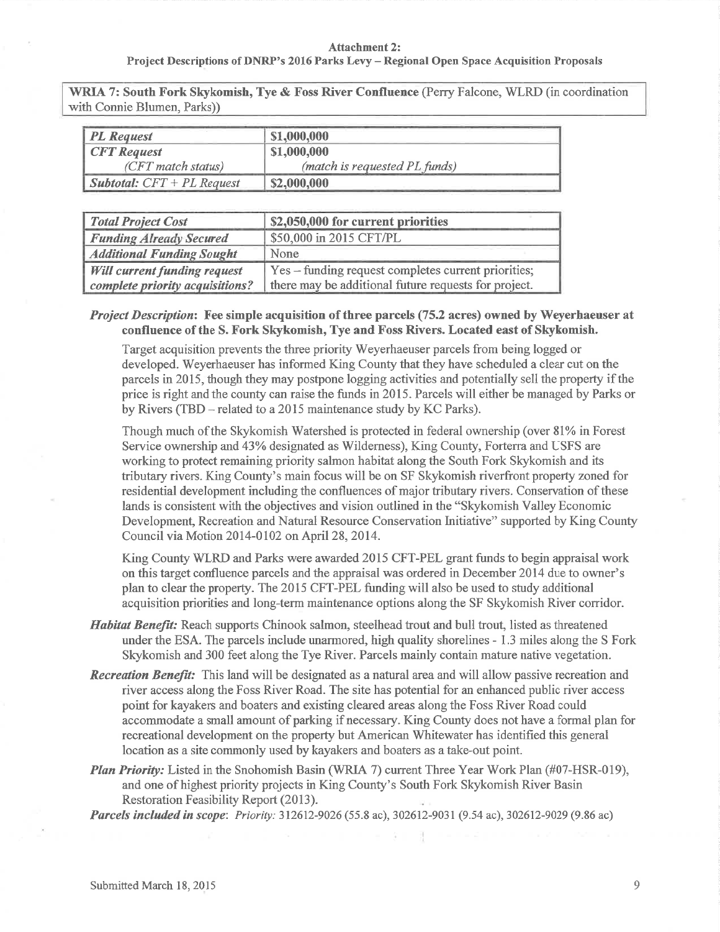## Attachment 2: Project Descriptions of DNRP's 2016 Parks Levy - Regional Open Space Acquisition Proposals

WRIA 7: South Fork Skykomish, Tye & Foss River Confluence (Perry Falcone, WLRD (in coordination with Connie Blumen, Parks))

| <b>PL</b> Request                   | \$1,000,000                   |
|-------------------------------------|-------------------------------|
| <b>CFT</b> Request                  | \$1,000,000                   |
| (CFT match status)                  | (match is requested PL funds) |
| <b>Subtotal:</b> $CFT + PL$ Request | \$2,000,000                   |

| <b>Total Project Cost</b>           | \$2,050,000 for current priorities                   |
|-------------------------------------|------------------------------------------------------|
| <b>Funding Already Secured</b>      | \$50,000 in 2015 CFT/PL                              |
| <b>Additional Funding Sought</b>    | None                                                 |
| <b>Will current funding request</b> | Yes – funding request completes current priorities;  |
| complete priority acquisitions?     | there may be additional future requests for project. |

## Project Description: Fee simple acquisition of three parcels (75.2 acres) owned by Weyerhaeuser at confluence of the S. Fork Skykomish, Tye and Foss Rivers. Located east of Skykomish.

Target acquisition prevents the three priority Weyerhaeuser parcels from being logged or developed. Weyerhaeuser has informed King County that they have scheduled a clear cut on the parcels in 2015, though they may postpone logging activities and potentially sell the property if the price is right and the county can raise the funds in 2015. Parcels will either be managed by Parks or by Rivers (TBD – related to a 2015 maintenance study by KC Parks).

Though much of the Skykomish Watershed is protected in federal ownership (over 81% in Forest Service ownership and 43% designated as Wilderness), King County, Forterra and USFS are working to protect remaining priority salmon habitat along the South Fork Skykomish and its tributary rivers. King County's main focus will be on SF Skykomish riverfront property zoned for residential development including the confluences of major tributary rivers. Conservation of these lands is consistent with the objectives and vision outlined in the "Skykomish Valley Economic Development, Recreation and Natural Resource Conservation Initiative" supported by King County Council via Motion 2014-0102 on April 28,2014.

King County WLRD and Parks were awarded 2015 CFT-PEL grant funds to begin appraisal work on this target confluence parcels and the appraisal was ordered in December 2014 due to owner's plan to clear the property. The 2015 CFT-PEL funding will also be used to study additional acquisition priorities and long-term maintenance options along the SF Skykomish River corridor.

- Habitat Benefit: Reach supports Chinook salmon, steelhead trout and bull trout, listed as threatened under the ESA. The parcels include unarmored, high quality shorelines - 1.3 miles along the S Fork Skykomish and 300 feet along the Tye River. Parcels mainly contain mature native vegetation.
- **Recreation Benefit:** This land will be designated as a natural area and will allow passive recreation and river access along the Foss River Road. The site has potential for an enhanced public river access point for kayakers and boaters and existing clea¡ed areas along the Foss River Road could accommodate a small amount of parking if necessary. King County does not have a formal plan for recreational development on the property but American Whitewater has identified this general location as a site commonly used by kayakers and boaters as a take-out point.
- **Plan Priority:** Listed in the Snohomish Basin (WRIA 7) current Three Year Work Plan (#07-HSR-019), and one of highest priority projects in King County's South Fork Skykomish River Basin Restoration Feasibility Report (2013).

Parcels included in scope: Priority: 312612-9026 (55.8 ac), 302612-9031 (9.54 ac), 302612-9029 (9.86 ac)